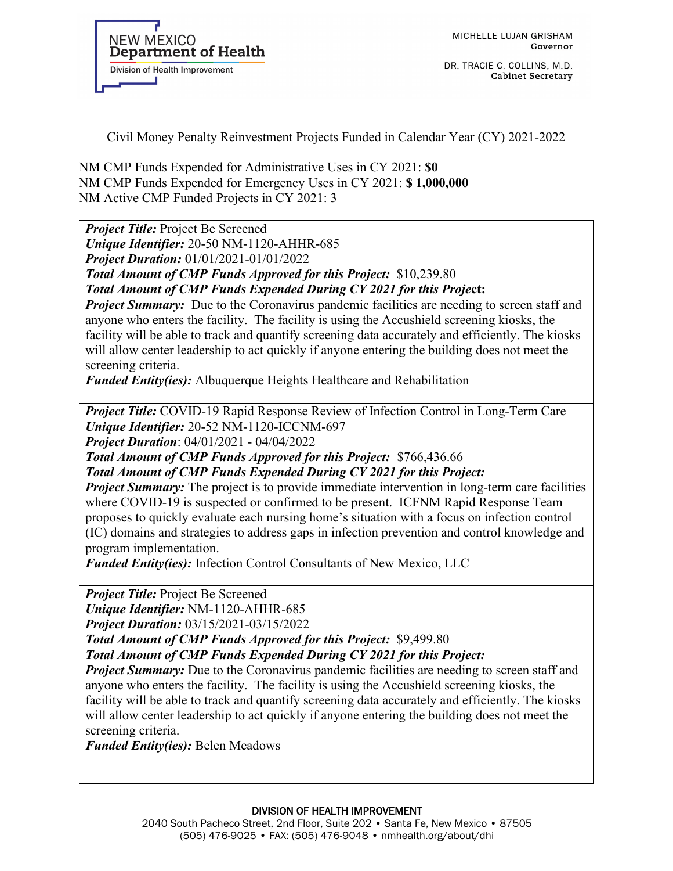DR. TRACIE C. COLLINS, M.D. **Cabinet Secretary** 

Civil Money Penalty Reinvestment Projects Funded in Calendar Year (CY) 2021-2022

NM CMP Funds Expended for Administrative Uses in CY 2021: **\$0**  NM CMP Funds Expended for Emergency Uses in CY 2021: **\$ 1,000,000**  NM Active CMP Funded Projects in CY 2021: 3

*Project Title:* Project Be Screened

*Unique Identifier:* 20-50 NM-1120-AHHR-685

*Project Duration:* 01/01/2021-01/01/2022

*Total Amount of CMP Funds Approved for this Project:* \$10,239.80

*Total Amount of CMP Funds Expended During CY 2021 for this Proje***ct:**

*Project Summary:* Due to the Coronavirus pandemic facilities are needing to screen staff and anyone who enters the facility. The facility is using the Accushield screening kiosks, the facility will be able to track and quantify screening data accurately and efficiently. The kiosks will allow center leadership to act quickly if anyone entering the building does not meet the screening criteria.

*Funded Entity(ies):* Albuquerque Heights Healthcare and Rehabilitation

*Project Title:* COVID-19 Rapid Response Review of Infection Control in Long-Term Care *Unique Identifier:* 20-52 NM-1120-ICCNM-697

*Project Duration*: 04/01/2021 - 04/04/2022

*Total Amount of CMP Funds Approved for this Project:* \$766,436.66

*Total Amount of CMP Funds Expended During CY 2021 for this Project:*

*Project Summary:* The project is to provide immediate intervention in long-term care facilities where COVID-19 is suspected or confirmed to be present. ICFNM Rapid Response Team proposes to quickly evaluate each nursing home's situation with a focus on infection control (IC) domains and strategies to address gaps in infection prevention and control knowledge and program implementation.

*Funded Entity(ies):* Infection Control Consultants of New Mexico, LLC

*Project Title:* Project Be Screened *Unique Identifier:* NM-1120-AHHR-685 *Project Duration:* 03/15/2021-03/15/2022

*Total Amount of CMP Funds Approved for this Project:* \$9,499.80

*Total Amount of CMP Funds Expended During CY 2021 for this Project:*

*Project Summary:* Due to the Coronavirus pandemic facilities are needing to screen staff and anyone who enters the facility. The facility is using the Accushield screening kiosks, the facility will be able to track and quantify screening data accurately and efficiently. The kiosks will allow center leadership to act quickly if anyone entering the building does not meet the screening criteria.

*Funded Entity(ies):* Belen Meadows

DIVISION OF HEALTH IMPROVEMENT